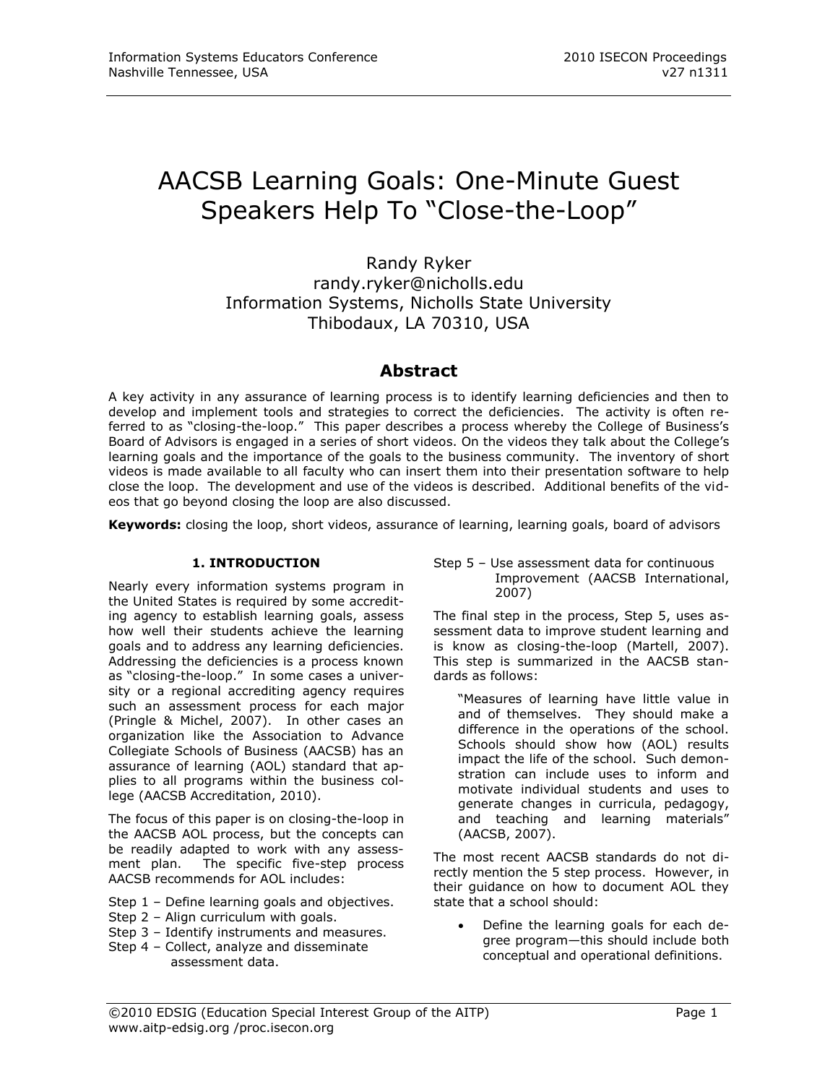# AACSB Learning Goals: One-Minute Guest Speakers Help To "Close-the-Loop"

Randy Ryker [randy.ryker@nicholls.edu](mailto:randy.ryker@nicholls.edu) Information Systems, Nicholls State University Thibodaux, LA 70310, USA

# **Abstract**

A key activity in any assurance of learning process is to identify learning deficiencies and then to develop and implement tools and strategies to correct the deficiencies. The activity is often referred to as "closing-the-loop." This paper describes a process whereby the College of Business's Board of Advisors is engaged in a series of short videos. On the videos they talk about the College's learning goals and the importance of the goals to the business community. The inventory of short videos is made available to all faculty who can insert them into their presentation software to help close the loop. The development and use of the videos is described. Additional benefits of the videos that go beyond closing the loop are also discussed.

**Keywords:** closing the loop, short videos, assurance of learning, learning goals, board of advisors

## **1. INTRODUCTION**

Nearly every information systems program in the United States is required by some accrediting agency to establish learning goals, assess how well their students achieve the learning goals and to address any learning deficiencies. Addressing the deficiencies is a process known as "closing-the-loop." In some cases a university or a regional accrediting agency requires such an assessment process for each major (Pringle & Michel, 2007). In other cases an organization like the Association to Advance Collegiate Schools of Business (AACSB) has an assurance of learning (AOL) standard that applies to all programs within the business college (AACSB Accreditation, 2010).

The focus of this paper is on closing-the-loop in the AACSB AOL process, but the concepts can be readily adapted to work with any assessment plan. The specific five-step process AACSB recommends for AOL includes:

- Step 1 Define learning goals and objectives.
- Step 2 Align curriculum with goals.
- Step 3 Identify instruments and measures.
- Step 4 Collect, analyze and disseminate assessment data.

Step 5 – Use assessment data for continuous Improvement (AACSB International, 2007)

The final step in the process, Step 5, uses assessment data to improve student learning and is know as closing-the-loop (Martell, 2007). This step is summarized in the AACSB standards as follows:

"Measures of learning have little value in and of themselves. They should make a difference in the operations of the school. Schools should show how (AOL) results impact the life of the school. Such demonstration can include uses to inform and motivate individual students and uses to generate changes in curricula, pedagogy, and teaching and learning materials" (AACSB, 2007).

The most recent AACSB standards do not directly mention the 5 step process. However, in their guidance on how to document AOL they state that a school should:

 Define the learning goals for each degree program—this should include both conceptual and operational definitions.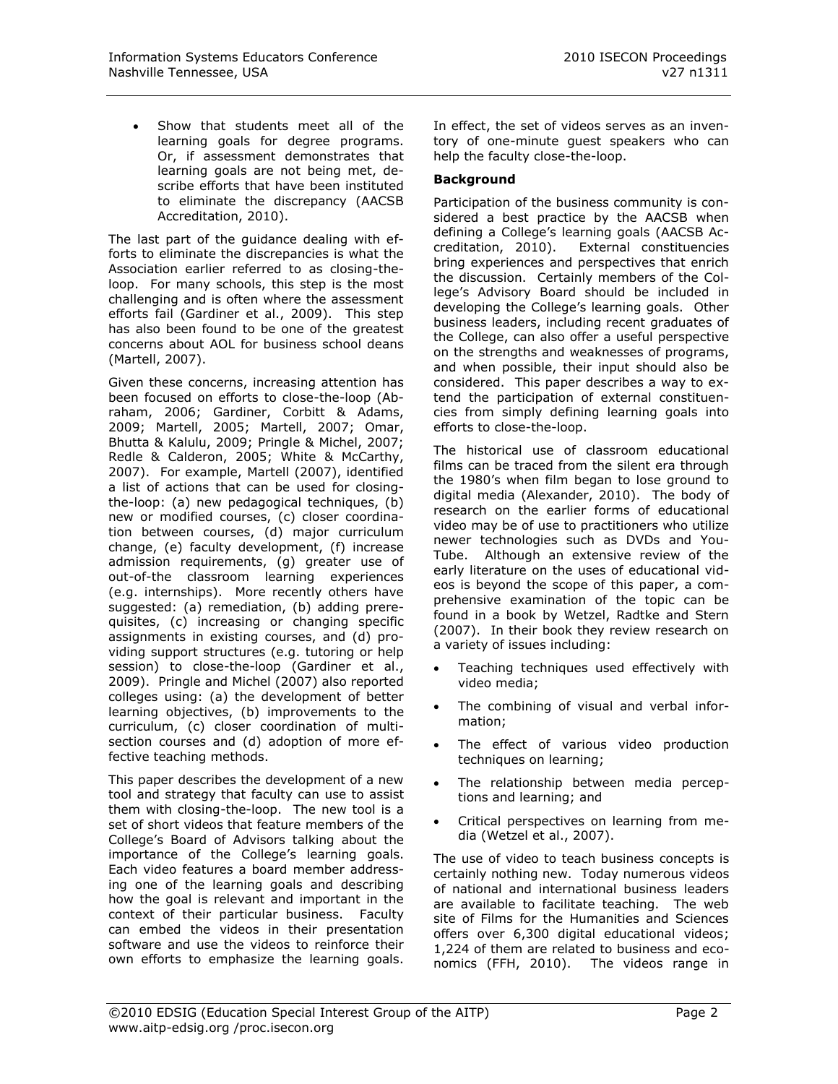Show that students meet all of the learning goals for degree programs. Or, if assessment demonstrates that learning goals are not being met, describe efforts that have been instituted to eliminate the discrepancy (AACSB Accreditation, 2010).

The last part of the guidance dealing with efforts to eliminate the discrepancies is what the Association earlier referred to as closing-theloop. For many schools, this step is the most challenging and is often where the assessment efforts fail (Gardiner et al., 2009). This step has also been found to be one of the greatest concerns about AOL for business school deans (Martell, 2007).

Given these concerns, increasing attention has been focused on efforts to close-the-loop (Abraham, 2006; Gardiner, Corbitt & Adams, 2009; Martell, 2005; Martell, 2007; Omar, Bhutta & Kalulu, 2009; Pringle & Michel, 2007; Redle & Calderon, 2005; White & McCarthy, 2007). For example, Martell (2007), identified a list of actions that can be used for closingthe-loop: (a) new pedagogical techniques, (b) new or modified courses, (c) closer coordination between courses, (d) major curriculum change, (e) faculty development, (f) increase admission requirements, (g) greater use of out-of-the classroom learning experiences (e.g. internships). More recently others have suggested: (a) remediation, (b) adding prerequisites, (c) increasing or changing specific assignments in existing courses, and (d) providing support structures (e.g. tutoring or help session) to close-the-loop (Gardiner et al., 2009). Pringle and Michel (2007) also reported colleges using: (a) the development of better learning objectives, (b) improvements to the curriculum, (c) closer coordination of multisection courses and (d) adoption of more effective teaching methods.

This paper describes the development of a new tool and strategy that faculty can use to assist them with closing-the-loop. The new tool is a set of short videos that feature members of the College's Board of Advisors talking about the importance of the College's learning goals. Each video features a board member addressing one of the learning goals and describing how the goal is relevant and important in the context of their particular business. Faculty can embed the videos in their presentation software and use the videos to reinforce their own efforts to emphasize the learning goals. In effect, the set of videos serves as an inventory of one-minute guest speakers who can help the faculty close-the-loop.

## **Background**

Participation of the business community is considered a best practice by the AACSB when defining a College's learning goals (AACSB Accreditation, 2010). External constituencies bring experiences and perspectives that enrich the discussion. Certainly members of the College's Advisory Board should be included in developing the College's learning goals. Other business leaders, including recent graduates of the College, can also offer a useful perspective on the strengths and weaknesses of programs, and when possible, their input should also be considered. This paper describes a way to extend the participation of external constituencies from simply defining learning goals into efforts to close-the-loop.

The historical use of classroom educational films can be traced from the silent era through the 1980's when film began to lose ground to digital media (Alexander, 2010). The body of research on the earlier forms of educational video may be of use to practitioners who utilize newer technologies such as DVDs and You-Tube. Although an extensive review of the early literature on the uses of educational videos is beyond the scope of this paper, a comprehensive examination of the topic can be found in a book by Wetzel, Radtke and Stern (2007). In their book they review research on a variety of issues including:

- Teaching techniques used effectively with video media;
- The combining of visual and verbal information;
- The effect of various video production techniques on learning;
- The relationship between media perceptions and learning; and
- Critical perspectives on learning from media (Wetzel et al., 2007).

The use of video to teach business concepts is certainly nothing new. Today numerous videos of national and international business leaders are available to facilitate teaching. The web site of Films for the Humanities and Sciences offers over 6,300 digital educational videos; 1,224 of them are related to business and economics (FFH, 2010). The videos range in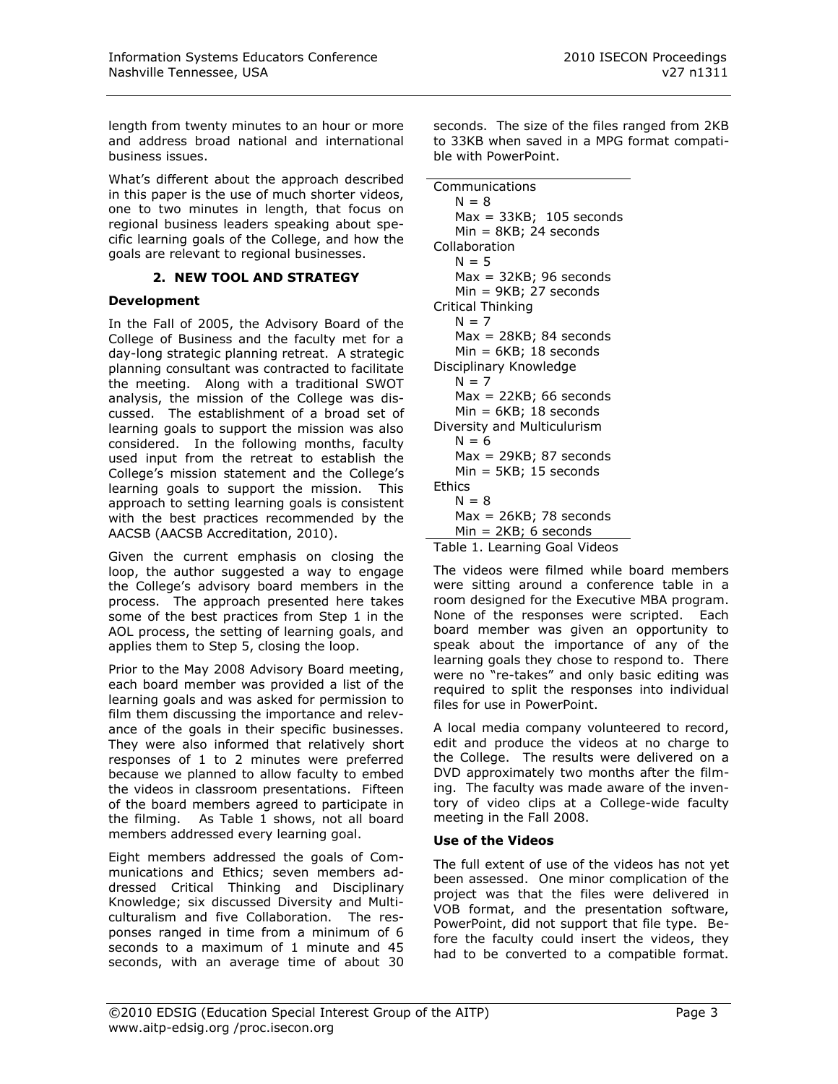length from twenty minutes to an hour or more and address broad national and international business issues.

What's different about the approach described in this paper is the use of much shorter videos, one to two minutes in length, that focus on regional business leaders speaking about specific learning goals of the College, and how the goals are relevant to regional businesses.

#### **2. NEW TOOL AND STRATEGY**

#### **Development**

In the Fall of 2005, the Advisory Board of the College of Business and the faculty met for a day-long strategic planning retreat. A strategic planning consultant was contracted to facilitate the meeting. Along with a traditional SWOT analysis, the mission of the College was discussed. The establishment of a broad set of learning goals to support the mission was also considered. In the following months, faculty used input from the retreat to establish the College's mission statement and the College's learning goals to support the mission. This approach to setting learning goals is consistent with the best practices recommended by the AACSB (AACSB Accreditation, 2010).

Given the current emphasis on closing the loop, the author suggested a way to engage the College's advisory board members in the process. The approach presented here takes some of the best practices from Step 1 in the AOL process, the setting of learning goals, and applies them to Step 5, closing the loop.

Prior to the May 2008 Advisory Board meeting, each board member was provided a list of the learning goals and was asked for permission to film them discussing the importance and relevance of the goals in their specific businesses. They were also informed that relatively short responses of 1 to 2 minutes were preferred because we planned to allow faculty to embed the videos in classroom presentations. Fifteen of the board members agreed to participate in the filming. As Table 1 shows, not all board members addressed every learning goal.

Eight members addressed the goals of Communications and Ethics; seven members addressed Critical Thinking and Disciplinary Knowledge; six discussed Diversity and Multiculturalism and five Collaboration. The responses ranged in time from a minimum of 6 seconds to a maximum of 1 minute and 45 seconds, with an average time of about 30 seconds. The size of the files ranged from 2KB to 33KB when saved in a MPG format compatible with PowerPoint.

| Communications              |
|-----------------------------|
| $N = 8$                     |
| Max = 33KB; 105 seconds     |
| Min = 8KB; 24 seconds       |
| Collaboration               |
| $N = 5$                     |
| $Max = 32KB$ ; 96 seconds   |
| Min = 9KB; 27 seconds       |
| Critical Thinking           |
| $N = 7$                     |
| $Max = 28KB$ ; 84 seconds   |
| Min = 6KB; 18 seconds       |
| Disciplinary Knowledge      |
| $N = 7$                     |
| $Max = 22KB$ ; 66 seconds   |
| $Min = 6KB$ ; 18 seconds    |
| Diversity and Multiculurism |
| $N = 6$                     |
| $Max = 29KB$ ; 87 seconds   |
| $Min = 5KB; 15 seconds$     |
| Ethics                      |
| $N = 8$                     |
| $Max = 26KB$ ; 78 seconds   |
| Min = 2KB; 6 seconds        |

Table 1. Learning Goal Videos

The videos were filmed while board members were sitting around a conference table in a room designed for the Executive MBA program. None of the responses were scripted. Each board member was given an opportunity to speak about the importance of any of the learning goals they chose to respond to. There were no "re-takes" and only basic editing was required to split the responses into individual files for use in PowerPoint.

A local media company volunteered to record, edit and produce the videos at no charge to the College. The results were delivered on a DVD approximately two months after the filming. The faculty was made aware of the inventory of video clips at a College-wide faculty meeting in the Fall 2008.

#### **Use of the Videos**

The full extent of use of the videos has not yet been assessed. One minor complication of the project was that the files were delivered in VOB format, and the presentation software, PowerPoint, did not support that file type. Before the faculty could insert the videos, they had to be converted to a compatible format.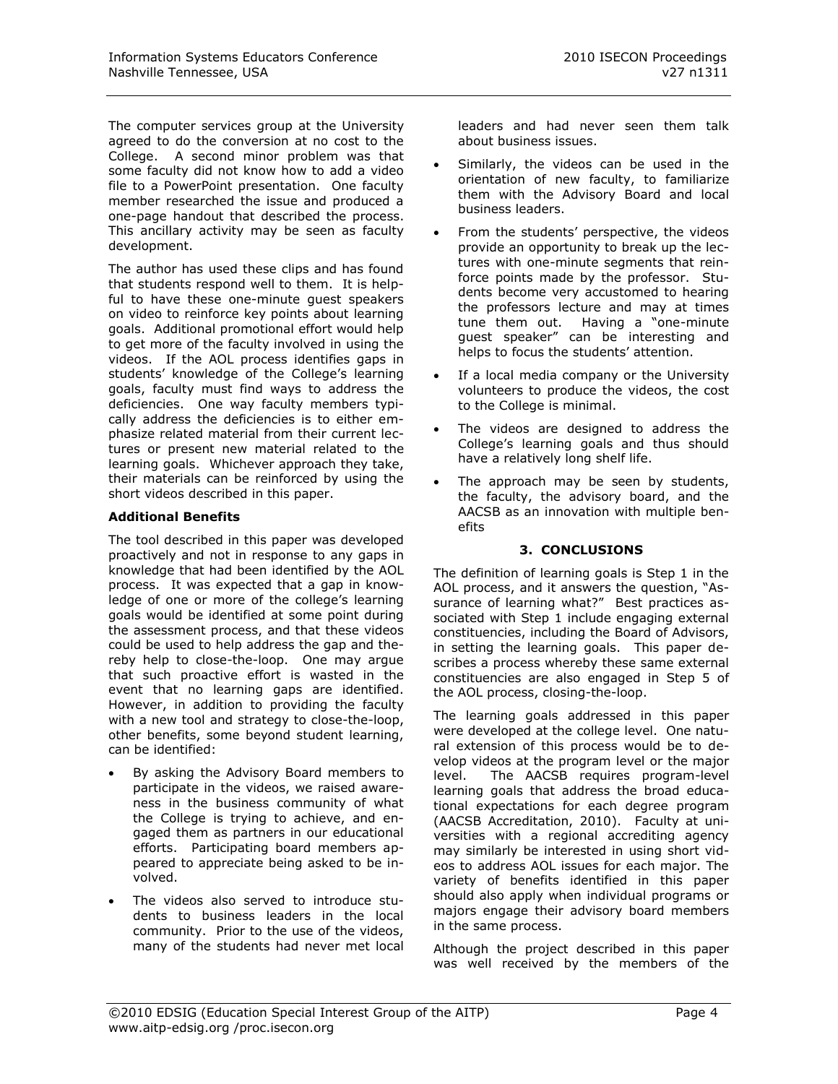The computer services group at the University agreed to do the conversion at no cost to the College. A second minor problem was that some faculty did not know how to add a video file to a PowerPoint presentation. One faculty member researched the issue and produced a one-page handout that described the process. This ancillary activity may be seen as faculty development.

The author has used these clips and has found that students respond well to them. It is helpful to have these one-minute guest speakers on video to reinforce key points about learning goals. Additional promotional effort would help to get more of the faculty involved in using the videos. If the AOL process identifies gaps in students' knowledge of the College's learning goals, faculty must find ways to address the deficiencies. One way faculty members typically address the deficiencies is to either emphasize related material from their current lectures or present new material related to the learning goals. Whichever approach they take, their materials can be reinforced by using the short videos described in this paper.

#### **Additional Benefits**

The tool described in this paper was developed proactively and not in response to any gaps in knowledge that had been identified by the AOL process. It was expected that a gap in knowledge of one or more of the college's learning goals would be identified at some point during the assessment process, and that these videos could be used to help address the gap and thereby help to close-the-loop. One may argue that such proactive effort is wasted in the event that no learning gaps are identified. However, in addition to providing the faculty with a new tool and strategy to close-the-loop, other benefits, some beyond student learning, can be identified:

- By asking the Advisory Board members to participate in the videos, we raised awareness in the business community of what the College is trying to achieve, and engaged them as partners in our educational efforts. Participating board members appeared to appreciate being asked to be involved.
- The videos also served to introduce students to business leaders in the local community. Prior to the use of the videos, many of the students had never met local

leaders and had never seen them talk about business issues.

- Similarly, the videos can be used in the orientation of new faculty, to familiarize them with the Advisory Board and local business leaders.
- From the students' perspective, the videos provide an opportunity to break up the lectures with one-minute segments that reinforce points made by the professor. Students become very accustomed to hearing the professors lecture and may at times tune them out. Having a "one-minute guest speaker" can be interesting and helps to focus the students' attention.
- If a local media company or the University volunteers to produce the videos, the cost to the College is minimal.
- The videos are designed to address the College's learning goals and thus should have a relatively long shelf life.
- The approach may be seen by students, the faculty, the advisory board, and the AACSB as an innovation with multiple benefits

#### **3. CONCLUSIONS**

The definition of learning goals is Step 1 in the AOL process, and it answers the question, "Assurance of learning what?" Best practices associated with Step 1 include engaging external constituencies, including the Board of Advisors, in setting the learning goals. This paper describes a process whereby these same external constituencies are also engaged in Step 5 of the AOL process, closing-the-loop.

The learning goals addressed in this paper were developed at the college level. One natural extension of this process would be to develop videos at the program level or the major level. The AACSB requires program-level learning goals that address the broad educational expectations for each degree program (AACSB Accreditation, 2010). Faculty at universities with a regional accrediting agency may similarly be interested in using short videos to address AOL issues for each major. The variety of benefits identified in this paper should also apply when individual programs or majors engage their advisory board members in the same process.

Although the project described in this paper was well received by the members of the